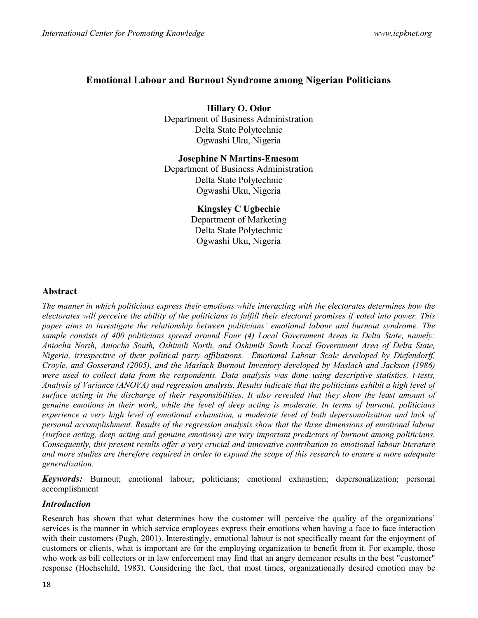# Emotional Labour and Burnout Syndrome among Nigerian Politicians

Hillary O. Odor Department of Business Administration Delta State Polytechnic Ogwashi Uku, Nigeria

### Josephine N Martins-Emesom

Department of Business Administration Delta State Polytechnic Ogwashi Uku, Nigeria

> Kingsley C Ugbechie Department of Marketing Delta State Polytechnic Ogwashi Uku, Nigeria

### Abstract

The manner in which politicians express their emotions while interacting with the electorates determines how the electorates will perceive the ability of the politicians to fulfill their electoral promises if voted into power. This paper aims to investigate the relationship between politicians' emotional labour and burnout syndrome. The sample consists of 400 politicians spread around Four (4) Local Government Areas in Delta State, namely: Aniocha North, Aniocha South, Oshimili North, and Oshimili South Local Government Area of Delta State, Nigeria, irrespective of their political party affiliations. Emotional Labour Scale developed by Diefendorff, Croyle, and Gosserand (2005), and the Maslach Burnout Inventory developed by Maslach and Jackson (1986) were used to collect data from the respondents. Data analysis was done using descriptive statistics, t-tests, Analysis of Variance (ANOVA) and regression analysis. Results indicate that the politicians exhibit a high level of surface acting in the discharge of their responsibilities. It also revealed that they show the least amount of genuine emotions in their work, while the level of deep acting is moderate. In terms of burnout, politicians experience a very high level of emotional exhaustion, a moderate level of both depersonalization and lack of personal accomplishment. Results of the regression analysis show that the three dimensions of emotional labour (surface acting, deep acting and genuine emotions) are very important predictors of burnout among politicians. Consequently, this present results offer a very crucial and innovative contribution to emotional labour literature and more studies are therefore required in order to expand the scope of this research to ensure a more adequate generalization.

Keywords: Burnout; emotional labour; politicians; emotional exhaustion; depersonalization; personal accomplishment

#### Introduction

Research has shown that what determines how the customer will perceive the quality of the organizations' services is the manner in which service employees express their emotions when having a face to face interaction with their customers (Pugh, 2001). Interestingly, emotional labour is not specifically meant for the enjoyment of customers or clients, what is important are for the employing organization to benefit from it. For example, those who work as bill collectors or in law enforcement may find that an angry demeanor results in the best "customer" response (Hochschild, 1983). Considering the fact, that most times, organizationally desired emotion may be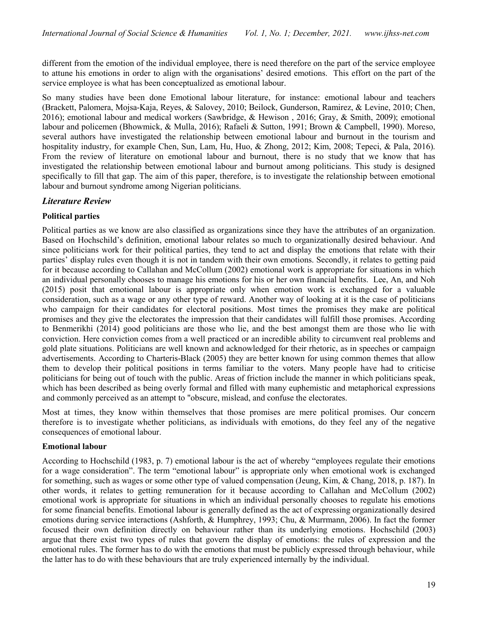different from the emotion of the individual employee, there is need therefore on the part of the service employee to attune his emotions in order to align with the organisations' desired emotions. This effort on the part of the service employee is what has been conceptualized as emotional labour.

So many studies have been done Emotional labour literature, for instance: emotional labour and teachers (Brackett, Palomera, Mojsa-Kaja, Reyes, & Salovey, 2010; Beilock, Gunderson, Ramirez, & Levine, 2010; Chen, 2016); emotional labour and medical workers (Sawbridge, & Hewison , 2016; Gray, & Smith, 2009); emotional labour and policemen (Bhowmick, & Mulla, 2016); Rafaeli & Sutton, 1991; Brown & Campbell, 1990). Moreso, several authors have investigated the relationship between emotional labour and burnout in the tourism and hospitality industry, for example Chen, Sun, Lam, Hu, Huo, & Zhong, 2012; Kim, 2008; Tepeci, & Pala, 2016). From the review of literature on emotional labour and burnout, there is no study that we know that has investigated the relationship between emotional labour and burnout among politicians. This study is designed specifically to fill that gap. The aim of this paper, therefore, is to investigate the relationship between emotional labour and burnout syndrome among Nigerian politicians.

## Literature Review

#### Political parties

Political parties as we know are also classified as organizations since they have the attributes of an organization. Based on Hochschild's definition, emotional labour relates so much to organizationally desired behaviour. And since politicians work for their political parties, they tend to act and display the emotions that relate with their parties' display rules even though it is not in tandem with their own emotions. Secondly, it relates to getting paid for it because according to Callahan and McCollum (2002) emotional work is appropriate for situations in which an individual personally chooses to manage his emotions for his or her own financial benefits. Lee, An, and Noh (2015) posit that emotional labour is appropriate only when emotion work is exchanged for a valuable consideration, such as a wage or any other type of reward. Another way of looking at it is the case of politicians who campaign for their candidates for electoral positions. Most times the promises they make are political promises and they give the electorates the impression that their candidates will fulfill those promises. According to Benmerikhi (2014) good politicians are those who lie, and the best amongst them are those who lie with conviction. Here conviction comes from a well practiced or an incredible ability to circumvent real problems and gold plate situations. Politicians are well known and acknowledged for their rhetoric, as in speeches or campaign advertisements. According to Charteris-Black (2005) they are better known for using common themes that allow them to develop their political positions in terms familiar to the voters. Many people have had to criticise politicians for being out of touch with the public. Areas of friction include the manner in which politicians speak, which has been described as being overly formal and filled with many euphemistic and metaphorical expressions and commonly perceived as an attempt to "obscure, mislead, and confuse the electorates.

Most at times, they know within themselves that those promises are mere political promises. Our concern therefore is to investigate whether politicians, as individuals with emotions, do they feel any of the negative consequences of emotional labour.

#### Emotional labour

According to Hochschild (1983, p. 7) emotional labour is the act of whereby "employees regulate their emotions for a wage consideration". The term "emotional labour" is appropriate only when emotional work is exchanged for something, such as wages or some other type of valued compensation (Jeung, Kim, & Chang, 2018, p. 187). In other words, it relates to getting remuneration for it because according to Callahan and McCollum (2002) emotional work is appropriate for situations in which an individual personally chooses to regulate his emotions for some financial benefits. Emotional labour is generally defined as the act of expressing organizationally desired emotions during service interactions (Ashforth, & Humphrey, 1993; Chu, & Murrmann, 2006). In fact the former focused their own definition directly on behaviour rather than its underlying emotions. Hochschild (2003) argue that there exist two types of rules that govern the display of emotions: the rules of expression and the emotional rules. The former has to do with the emotions that must be publicly expressed through behaviour, while the latter has to do with these behaviours that are truly experienced internally by the individual.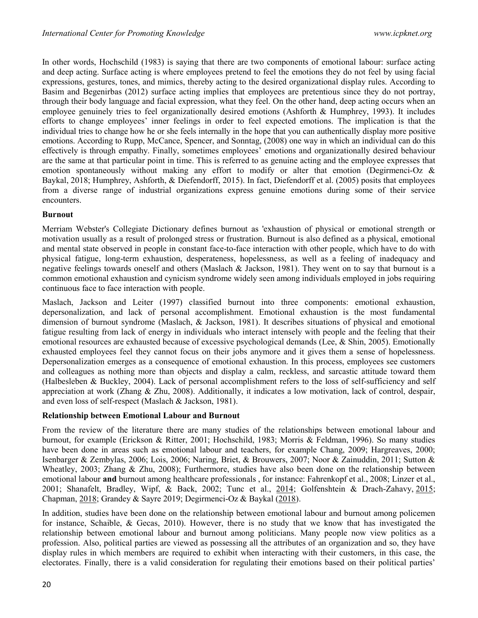In other words, Hochschild (1983) is saying that there are two components of emotional labour: surface acting and deep acting. Surface acting is where employees pretend to feel the emotions they do not feel by using facial expressions, gestures, tones, and mimics, thereby acting to the desired organizational display rules. According to Basim and Begenirbas (2012) surface acting implies that employees are pretentious since they do not portray, through their body language and facial expression, what they feel. On the other hand, deep acting occurs when an employee genuinely tries to feel organizationally desired emotions (Ashforth & Humphrey, 1993). It includes efforts to change employees' inner feelings in order to feel expected emotions. The implication is that the individual tries to change how he or she feels internally in the hope that you can authentically display more positive emotions. According to Rupp, McCance, Spencer, and Sonntag, (2008) one way in which an individual can do this effectively is through empathy. Finally, sometimes employees' emotions and organizationally desired behaviour are the same at that particular point in time. This is referred to as genuine acting and the employee expresses that emotion spontaneously without making any effort to modify or alter that emotion (Degirmenci-Oz  $\&$ Baykal, 2018; Humphrey, Ashforth, & Diefendorff, 2015). In fact, Diefendorff et al. (2005) posits that employees from a diverse range of industrial organizations express genuine emotions during some of their service encounters.

### Burnout

Merriam Webster's Collegiate Dictionary defines burnout as 'exhaustion of physical or emotional strength or motivation usually as a result of prolonged stress or frustration. Burnout is also defined as a physical, emotional and mental state observed in people in constant face-to-face interaction with other people, which have to do with physical fatigue, long-term exhaustion, desperateness, hopelessness, as well as a feeling of inadequacy and negative feelings towards oneself and others (Maslach & Jackson, 1981). They went on to say that burnout is a common emotional exhaustion and cynicism syndrome widely seen among individuals employed in jobs requiring continuous face to face interaction with people.

Maslach, Jackson and Leiter (1997) classified burnout into three components: emotional exhaustion, depersonalization, and lack of personal accomplishment. Emotional exhaustion is the most fundamental dimension of burnout syndrome (Maslach, & Jackson, 1981). It describes situations of physical and emotional fatigue resulting from lack of energy in individuals who interact intensely with people and the feeling that their emotional resources are exhausted because of excessive psychological demands (Lee, & Shin, 2005). Emotionally exhausted employees feel they cannot focus on their jobs anymore and it gives them a sense of hopelessness. Depersonalization emerges as a consequence of emotional exhaustion. In this process, employees see customers and colleagues as nothing more than objects and display a calm, reckless, and sarcastic attitude toward them (Halbesleben & Buckley, 2004). Lack of personal accomplishment refers to the loss of self-sufficiency and self appreciation at work (Zhang & Zhu, 2008). Additionally, it indicates a low motivation, lack of control, despair, and even loss of self-respect (Maslach & Jackson, 1981).

#### Relationship between Emotional Labour and Burnout

From the review of the literature there are many studies of the relationships between emotional labour and burnout, for example (Erickson & Ritter, 2001; Hochschild, 1983; Morris & Feldman, 1996). So many studies have been done in areas such as emotional labour and teachers, for example Chang, 2009; Hargreaves, 2000; Isenbarger & Zembylas, 2006; Lois, 2006; Naring, Briet, & Brouwers, 2007; Noor & Zainuddin, 2011; Sutton & Wheatley, 2003; Zhang & Zhu, 2008); Furthermore, studies have also been done on the relationship between emotional labour and burnout among healthcare professionals, for instance: Fahrenkopf et al., 2008; Linzer et al., 2001; Shanafelt, Bradley, Wipf, & Back, 2002; Tunc et al., 2014; Golfenshtein & Drach‐Zahavy, 2015; Chapman, 2018; Grandey & Sayre 2019; Degirmenci‐Oz & Baykal (2018).

In addition, studies have been done on the relationship between emotional labour and burnout among policemen for instance, Schaible, & Gecas, 2010). However, there is no study that we know that has investigated the relationship between emotional labour and burnout among politicians. Many people now view politics as a profession. Also, political parties are viewed as possessing all the attributes of an organization and so, they have display rules in which members are required to exhibit when interacting with their customers, in this case, the electorates. Finally, there is a valid consideration for regulating their emotions based on their political parties'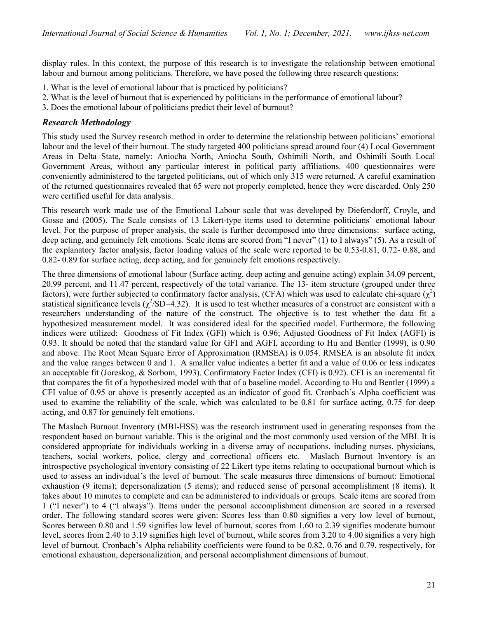display rules. In this context, the purpose of this research is to investigate the relationship between emotional labour and burnout among politicians. Therefore, we have posed the following three research questions:

- 1. What is the level of emotional labour that is practiced by politicians?
- 2. What is the level of burnout that is experienced by politicians in the performance of emotional labour?
- 3. Does the emotional labour of politicians predict their level of burnout?

#### Research Methodology

This study used the Survey research method in order to determine the relationship between politicians' emotional labour and the level of their burnout. The study targeted 400 politicians spread around four (4) Local Government Areas in Delta State, namely: Aniocha North, Aniocha South, Oshimili North, and Oshimili South Local Government Areas, without any particular interest in political party affiliations. 400 questionnaires were conveniently administered to the targeted politicians, out of which only 315 were returned. A careful examination of the returned questionnaires revealed that 65 were not properly completed, hence they were discarded. Only 250 were certified useful for data analysis.

This research work made use of the Emotional Labour scale that was developed by Diefendorff, Croyle, and Gosse and (2005). The Scale consists of 13 Likert-type items used to determine politicians' emotional labour level. For the purpose of proper analysis, the scale is further decomposed into three dimensions: surface acting, deep acting, and genuinely felt emotions. Scale items are scored from "I never" (1) to I always" (5). As a result of the explanatory factor analysis, factor loading values of the scale were reported to be 0.53-0.81, 0.72- 0.88, and 0.82- 0.89 for surface acting, deep acting, and for genuinely felt emotions respectively.

The three dimensions of emotional labour (Surface acting, deep acting and genuine acting) explain 34.09 percent, 20.99 percent, and 11.47 percent, respectively of the total variance. The 13- item structure (grouped under three factors), were further subjected to confirmatory factor analysis, (CFA) which was used to calculate chi-square  $(\chi^2)$ statistical significance levels  $(\chi^2/SD=4.32)$ . It is used to test whether measures of a construct are consistent with a researchers understanding of the nature of the construct. The objective is to test whether the data fit a hypothesized measurement model. It was considered ideal for the specified model. Furthermore, the following indices were utilized: Goodness of Fit Index (GFI) which is 0.96; Adjusted Goodness of Fit Index (AGFI) is 0.93. It should be noted that the standard value for GFI and AGFI, according to Hu and Bentler (1999), is 0.90 and above. The Root Mean Square Error of Approximation (RMSEA) is 0.054. RMSEA is an absolute fit index and the value ranges between 0 and 1. A smaller value indicates a better fit and a value of 0.06 or less indicates an acceptable fit (Joreskog, & Sorbom, 1993). Confirmatory Factor Index (CFI) is 0.92). CFI is an incremental fit that compares the fit of a hypothesized model with that of a baseline model. According to Hu and Bentler (1999) a CFI value of 0.95 or above is presently accepted as an indicator of good fit. Cronbach's Alpha coefficient was used to examine the reliability of the scale, which was calculated to be 0.81 for surface acting, 0.75 for deep acting, and 0.87 for genuinely felt emotions.

The Maslach Burnout Inventory (MBI-HSS) was the research instrument used in generating responses from the respondent based on burnout variable. This is the original and the most commonly used version of the MBI. It is considered appropriate for individuals working in a diverse array of occupations, including nurses, physicians, teachers, social workers, police, clergy and correctional officers etc. Maslach Burnout Inventory is an introspective psychological inventory consisting of 22 Likert type items relating to occupational burnout which is used to assess an individual's the level of burnout. The scale measures three dimensions of burnout: Emotional exhaustion (9 items); depersonalization (5 items); and reduced sense of personal accomplishment (8 items). It takes about 10 minutes to complete and can be administered to individuals or groups. Scale items are scored from 1 ("I never") to 4 ("I always"). Items under the personal accomplishment dimension are scored in a reversed order. The following standard scores were given: Scores less than 0.80 signifies a very low level of burnout, Scores between 0.80 and 1.59 signifies low level of burnout, scores from 1.60 to 2.39 signifies moderate burnout level, scores from 2.40 to 3.19 signifies high level of burnout, while scores from 3.20 to 4.00 signifies a very high level of burnout. Cronbach's Alpha reliability coefficients were found to be 0.82, 0.76 and 0.79, respectively, for emotional exhaustion, depersonalization, and personal accomplishment dimensions of burnout.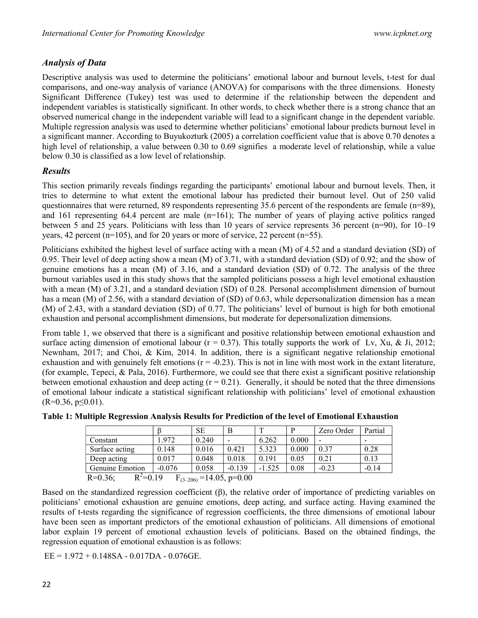# Analysis of Data

Descriptive analysis was used to determine the politicians' emotional labour and burnout levels, t-test for dual comparisons, and one-way analysis of variance (ANOVA) for comparisons with the three dimensions. Honesty Significant Difference (Tukey) test was used to determine if the relationship between the dependent and independent variables is statistically significant. In other words, to check whether there is a strong chance that an observed numerical change in the independent variable will lead to a significant change in the dependent variable. Multiple regression analysis was used to determine whether politicians' emotional labour predicts burnout level in a significant manner. According to Buyukozturk (2005) a correlation coefficient value that is above 0.70 denotes a high level of relationship, a value between 0.30 to 0.69 signifies a moderate level of relationship, while a value below 0.30 is classified as a low level of relationship.

# Results

This section primarily reveals findings regarding the participants' emotional labour and burnout levels. Then, it tries to determine to what extent the emotional labour has predicted their burnout level. Out of 250 valid questionnaires that were returned, 89 respondents representing 35.6 percent of the respondents are female  $(n=89)$ , and 161 representing 64.4 percent are male  $(n=161)$ ; The number of years of playing active politics ranged between 5 and 25 years. Politicians with less than 10 years of service represents 36 percent (n=90), for 10–19 years, 42 percent (n=105), and for 20 years or more of service, 22 percent (n=55).

Politicians exhibited the highest level of surface acting with a mean (M) of 4.52 and a standard deviation (SD) of 0.95. Their level of deep acting show a mean (M) of 3.71, with a standard deviation (SD) of 0.92; and the show of genuine emotions has a mean  $(M)$  of 3.16, and a standard deviation  $(SD)$  of 0.72. The analysis of the three burnout variables used in this study shows that the sampled politicians possess a high level emotional exhaustion with a mean (M) of 3.21, and a standard deviation (SD) of 0.28. Personal accomplishment dimension of burnout has a mean (M) of 2.56, with a standard deviation of (SD) of 0.63, while depersonalization dimension has a mean (M) of 2.43, with a standard deviation (SD) of 0.77. The politicians' level of burnout is high for both emotional exhaustion and personal accomplishment dimensions, but moderate for depersonalization dimensions.

From table 1, we observed that there is a significant and positive relationship between emotional exhaustion and surface acting dimension of emotional labour ( $r = 0.37$ ). This totally supports the work of Lv, Xu, & Ji, 2012; Newnham, 2017; and Choi, & Kim, 2014. In addition, there is a significant negative relationship emotional exhaustion and with genuinely felt emotions  $(r = -0.23)$ . This is not in line with most work in the extant literature, (for example, Tepeci, & Pala, 2016). Furthermore, we could see that there exist a significant positive relationship between emotional exhaustion and deep acting  $(r = 0.21)$ . Generally, it should be noted that the three dimensions of emotional labour indicate a statistical significant relationship with politicians' level of emotional exhaustion  $(R=0.36, p\leq 0.01)$ .

|                                                              |          | <b>SE</b> | B        |          | D     | Zero Order | Partial |
|--------------------------------------------------------------|----------|-----------|----------|----------|-------|------------|---------|
| Constant                                                     | 1.972    | 0.240     | -        | 6.262    | 0.000 |            |         |
| Surface acting                                               | 0.148    | 0.016     | 0.421    | 5.323    | 0.000 | 0.37       | 0.28    |
| Deep acting                                                  | 0.017    | 0.048     | 0.018    | 0.191    | 0.05  | 0.21       | 0.13    |
| Genuine Emotion                                              | $-0.076$ | 0.058     | $-0.139$ | $-1.525$ | 0.08  | $-0.23$    | $-0.14$ |
| $R^2 = 0.19$<br>$R=0.36$ ;<br>$F_{(3-206)} = 14.05$ , p=0.00 |          |           |          |          |       |            |         |

|  |  |  | Table 1: Multiple Regression Analysis Results for Prediction of the level of Emotional Exhaustion |
|--|--|--|---------------------------------------------------------------------------------------------------|
|--|--|--|---------------------------------------------------------------------------------------------------|

Based on the standardized regression coefficient  $(\beta)$ , the relative order of importance of predicting variables on politicians' emotional exhaustion are genuine emotions, deep acting, and surface acting. Having examined the results of t-tests regarding the significance of regression coefficients, the three dimensions of emotional labour have been seen as important predictors of the emotional exhaustion of politicians. All dimensions of emotional labor explain 19 percent of emotional exhaustion levels of politicians. Based on the obtained findings, the regression equation of emotional exhaustion is as follows:

 $EE = 1.972 + 0.148SA - 0.017DA - 0.076GE.$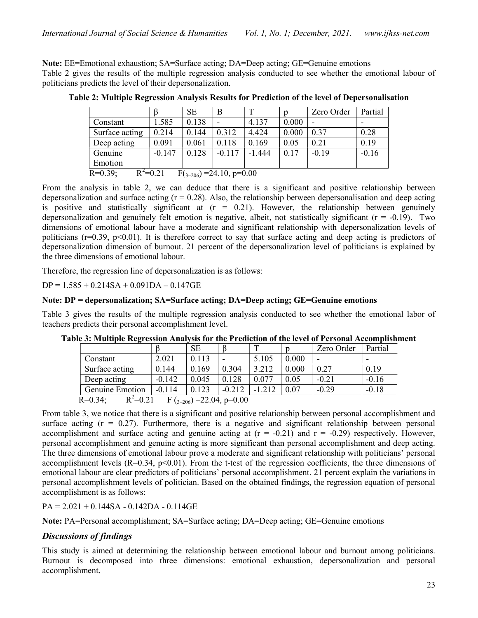Note: EE=Emotional exhaustion; SA=Surface acting; DA=Deep acting; GE=Genuine emotions Table 2 gives the results of the multiple regression analysis conducted to see whether the emotional labour of politicians predicts the level of their depersonalization.

|                                                             |          | <b>SE</b> | В        | т        |       | Zero Order | Partial |
|-------------------------------------------------------------|----------|-----------|----------|----------|-------|------------|---------|
| Constant                                                    | 1.585    | 0.138     |          | 4.137    | 0.000 |            |         |
| Surface acting                                              | 0.214    | 0.144     | 0.312    | 4.424    | 0.000 | 0.37       | 0.28    |
| Deep acting                                                 | 0.091    | 0.061     | 0.118    | 0.169    | 0.05  | 0.21       | 0.19    |
| Genuine                                                     | $-0.147$ | 0.128     | $-0.117$ | $-1.444$ | 0.17  | $-0.19$    | $-0.16$ |
| Emotion                                                     |          |           |          |          |       |            |         |
| $R^2 = 0.21$<br>$R=0.39;$<br>$F_{(3-206)} = 24.10$ , p=0.00 |          |           |          |          |       |            |         |

Table 2: Multiple Regression Analysis Results for Prediction of the level of Depersonalisation

From the analysis in table 2, we can deduce that there is a significant and positive relationship between depersonalization and surface acting  $(r = 0.28)$ . Also, the relationship between depersonalisation and deep acting is positive and statistically significant at  $(r = 0.21)$ . However, the relationship between genuinely depersonalization and genuinely felt emotion is negative, albeit, not statistically significant ( $r = -0.19$ ). Two dimensions of emotional labour have a moderate and significant relationship with depersonalization levels of politicians ( $r=0.39$ ,  $p<0.01$ ). It is therefore correct to say that surface acting and deep acting is predictors of depersonalization dimension of burnout. 21 percent of the depersonalization level of politicians is explained by the three dimensions of emotional labour.

Therefore, the regression line of depersonalization is as follows:

 $DP = 1.585 + 0.214SA + 0.091DA - 0.147GE$ 

#### Note: DP = depersonalization; SA=Surface acting; DA=Deep acting; GE=Genuine emotions

Table 3 gives the results of the multiple regression analysis conducted to see whether the emotional labor of teachers predicts their personal accomplishment level.

| к от манирк кестездон танагузіз тог ию і геансион от ию кусі от і сгзонат тіссонірнэн |          |           |                          |          |       |                          |         |
|---------------------------------------------------------------------------------------|----------|-----------|--------------------------|----------|-------|--------------------------|---------|
|                                                                                       |          | <b>SE</b> |                          |          |       | Zero Order               | Partial |
| Constant                                                                              | 2.021    | 0.113     | $\overline{\phantom{0}}$ | 5.105    | 0.000 | $\overline{\phantom{0}}$ |         |
| Surface acting                                                                        | 0.144    | 0.169     | 0.304                    | 3.212    | 0.000 | 0.27                     | 0.19    |
| Deep acting                                                                           | $-0.142$ | 0.045     | 0.128                    | 0.077    | 0.05  | $-0.21$                  | $-0.16$ |
| Genuine Emotion                                                                       | $-0.114$ | 0.123     | $-0.212$                 | $-1.212$ | 0.07  | $-0.29$                  | $-0.18$ |
| $R^2 = 0.21$<br>$R=0.34$ ;<br>F $_{3-206}$ = 22.04, p=0.00                            |          |           |                          |          |       |                          |         |

Table 3: Multiple Regression Analysis for the Prediction of the level of Personal Accomplishment

From table 3, we notice that there is a significant and positive relationship between personal accomplishment and surface acting  $(r = 0.27)$ . Furthermore, there is a negative and significant relationship between personal accomplishment and surface acting and genuine acting at  $(r = -0.21)$  and  $r = -0.29$ ) respectively. However, personal accomplishment and genuine acting is more significant than personal accomplishment and deep acting. The three dimensions of emotional labour prove a moderate and significant relationship with politicians' personal accomplishment levels  $(R=0.34, p<0.01)$ . From the t-test of the regression coefficients, the three dimensions of emotional labour are clear predictors of politicians' personal accomplishment. 21 percent explain the variations in personal accomplishment levels of politician. Based on the obtained findings, the regression equation of personal accomplishment is as follows:

PA = 2.021 + 0.144SA - 0.142DA - 0.114GE

Note: PA=Personal accomplishment; SA=Surface acting; DA=Deep acting; GE=Genuine emotions

## Discussions of findings

This study is aimed at determining the relationship between emotional labour and burnout among politicians. Burnout is decomposed into three dimensions: emotional exhaustion, depersonalization and personal accomplishment.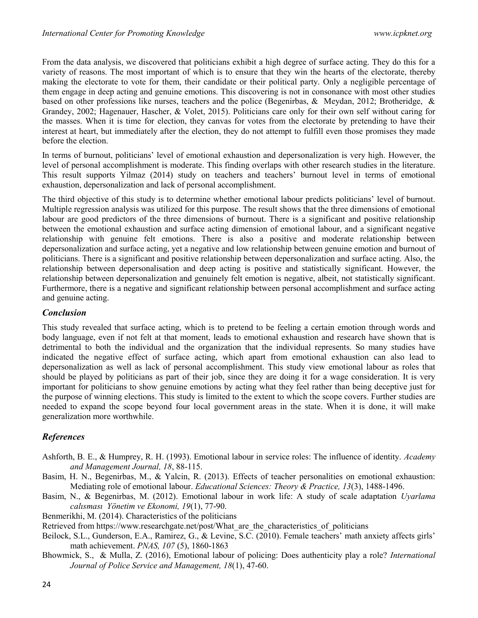From the data analysis, we discovered that politicians exhibit a high degree of surface acting. They do this for a variety of reasons. The most important of which is to ensure that they win the hearts of the electorate, thereby making the electorate to vote for them, their candidate or their political party. Only a negligible percentage of them engage in deep acting and genuine emotions. This discovering is not in consonance with most other studies based on other professions like nurses, teachers and the police (Begenirbas, & Meydan, 2012; Brotheridge, & Grandey, 2002; Hagenauer, Hascher, & Volet, 2015). Politicians care only for their own self without caring for the masses. When it is time for election, they canvas for votes from the electorate by pretending to have their interest at heart, but immediately after the election, they do not attempt to fulfill even those promises they made before the election.

In terms of burnout, politicians' level of emotional exhaustion and depersonalization is very high. However, the level of personal accomplishment is moderate. This finding overlaps with other research studies in the literature. This result supports Yilmaz (2014) study on teachers and teachers' burnout level in terms of emotional exhaustion, depersonalization and lack of personal accomplishment.

The third objective of this study is to determine whether emotional labour predicts politicians' level of burnout. Multiple regression analysis was utilized for this purpose. The result shows that the three dimensions of emotional labour are good predictors of the three dimensions of burnout. There is a significant and positive relationship between the emotional exhaustion and surface acting dimension of emotional labour, and a significant negative relationship with genuine felt emotions. There is also a positive and moderate relationship between depersonalization and surface acting, yet a negative and low relationship between genuine emotion and burnout of politicians. There is a significant and positive relationship between depersonalization and surface acting. Also, the relationship between depersonalisation and deep acting is positive and statistically significant. However, the relationship between depersonalization and genuinely felt emotion is negative, albeit, not statistically significant. Furthermore, there is a negative and significant relationship between personal accomplishment and surface acting and genuine acting.

## Conclusion

This study revealed that surface acting, which is to pretend to be feeling a certain emotion through words and body language, even if not felt at that moment, leads to emotional exhaustion and research have shown that is detrimental to both the individual and the organization that the individual represents. So many studies have indicated the negative effect of surface acting, which apart from emotional exhaustion can also lead to depersonalization as well as lack of personal accomplishment. This study view emotional labour as roles that should be played by politicians as part of their job, since they are doing it for a wage consideration. It is very important for politicians to show genuine emotions by acting what they feel rather than being deceptive just for the purpose of winning elections. This study is limited to the extent to which the scope covers. Further studies are needed to expand the scope beyond four local government areas in the state. When it is done, it will make generalization more worthwhile.

## References

- Ashforth, B. E., & Humprey, R. H. (1993). Emotional labour in service roles: The influence of identity. Academy and Management Journal, 18, 88-115.
- Basim, H. N., Begenirbas, M., & Yalcin, R. (2013). Effects of teacher personalities on emotional exhaustion: Mediating role of emotional labour. Educational Sciences: Theory & Practice, 13(3), 1488-1496.
- Basim, N., & Begenirbas, M. (2012). Emotional labour in work life: A study of scale adaptation Uyarlama calısması Yönetim ve Ekonomi, 19(1), 77-90.
- Benmerikhi, M. (2014). Characteristics of the politicians
- Retrieved from https://www.researchgate.net/post/What\_are\_the\_characteristics\_of\_politicians
- Beilock, S.L., Gunderson, E.A., Ramirez, G., & Levine, S.C. (2010). Female teachers' math anxiety affects girls' math achievement. PNAS, 107 (5), 1860-1863
- Bhowmick, S., & Mulla, Z. (2016), Emotional labour of policing: Does authenticity play a role? International Journal of Police Service and Management, 18(1), 47-60.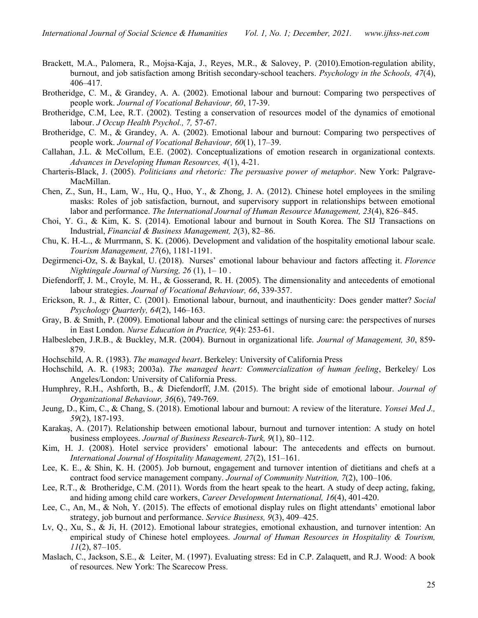- Brackett, M.A., Palomera, R., Mojsa-Kaja, J., Reyes, M.R., & Salovey, P. (2010).Emotion-regulation ability, burnout, and job satisfaction among British secondary-school teachers. Psychology in the Schools, 47(4), 406–417.
- Brotheridge, C. M., & Grandey, A. A. (2002). Emotional labour and burnout: Comparing two perspectives of people work. Journal of Vocational Behaviour, 60, 17-39.
- Brotheridge, C.M, Lee, R.T. (2002). Testing a conservation of resources model of the dynamics of emotional labour. J Occup Health Psychol., 7, 57-67.
- Brotheridge, C. M., & Grandey, A. A. (2002). Emotional labour and burnout: Comparing two perspectives of people work. Journal of Vocational Behaviour, 60(1), 17–39.
- Callahan, J.L. & McCollum, E.E. (2002). Conceptualizations of emotion research in organizational contexts. Advances in Developing Human Resources, 4(1), 4-21.
- Charteris-Black, J. (2005). Politicians and rhetoric: The persuasive power of metaphor. New York: Palgrave-MacMillan.
- Chen, Z., Sun, H., Lam, W., Hu, Q., Huo, Y., & Zhong, J. A. (2012). Chinese hotel employees in the smiling masks: Roles of job satisfaction, burnout, and supervisory support in relationships between emotional labor and performance. The International Journal of Human Resource Management, 23(4), 826–845.
- Choi, Y. G., & Kim, K. S. (2014). Emotional labour and burnout in South Korea. The SIJ Transactions on Industrial, Financial & Business Management, 2(3), 82–86.
- Chu, K. H.-L., & Murrmann, S. K. (2006). Development and validation of the hospitality emotional labour scale. Tourism Management, 27(6), 1181-1191.
- Degirmenci-Oz, S. & Baykal, U. (2018). Nurses' emotional labour behaviour and factors affecting it. Florence Nightingale Journal of Nursing, 26 (1), 1– 10 .
- Diefendorff, J. M., Croyle, M. H., & Gosserand, R. H. (2005). The dimensionality and antecedents of emotional labour strategies. Journal of Vocational Behaviour, 66, 339-357.
- Erickson, R. J., & Ritter, C. (2001). Emotional labour, burnout, and inauthenticity: Does gender matter? Social Psychology Quarterly, 64(2), 146–163.
- Gray, B. & Smith, P. (2009). Emotional labour and the clinical settings of nursing care: the perspectives of nurses in East London. Nurse Education in Practice, 9(4): 253-61.
- Halbesleben, J.R.B., & Buckley, M.R. (2004). Burnout in organizational life. Journal of Management, 30, 859-879.
- Hochschild, A. R. (1983). The managed heart. Berkeley: University of California Press
- Hochschild, A. R. (1983; 2003a). The managed heart: Commercialization of human feeling, Berkeley/ Los Angeles/London: University of California Press.
- Humphrey, R.H., Ashforth, B., & Diefendorff, J.M. (2015). The bright side of emotional labour. *Journal of* Organizational Behaviour, 36(6), 749-769.
- Jeung, D., Kim, C., & Chang, S. (2018). Emotional labour and burnout: A review of the literature. *Yonsei Med J.*, 59(2), 187-193.
- Karakaş, A. (2017). Relationship between emotional labour, burnout and turnover intention: A study on hotel business employees. Journal of Business Research-Turk, 9(1), 80–112.
- Kim, H. J. (2008). Hotel service providers' emotional labour: The antecedents and effects on burnout. International Journal of Hospitality Management, 27(2), 151–161.
- Lee, K. E., & Shin, K. H. (2005). Job burnout, engagement and turnover intention of dietitians and chefs at a contract food service management company. Journal of Community Nutrition, 7(2), 100–106.
- Lee, R.T., & Brotheridge, C.M. (2011). Words from the heart speak to the heart. A study of deep acting, faking, and hiding among child care workers, Career Development International, 16(4), 401-420.
- Lee, C., An, M., & Noh, Y. (2015). The effects of emotional display rules on flight attendants' emotional labor strategy, job burnout and performance. Service Business, 9(3), 409–425.
- Lv, Q., Xu, S., & Ji, H. (2012). Emotional labour strategies, emotional exhaustion, and turnover intention: An empirical study of Chinese hotel employees. Journal of Human Resources in Hospitality & Tourism,  $11(2)$ , 87–105.
- Maslach, C., Jackson, S.E., & Leiter, M. (1997). Evaluating stress: Ed in C.P. Zalaquett, and R.J. Wood: A book of resources. New York: The Scarecow Press.